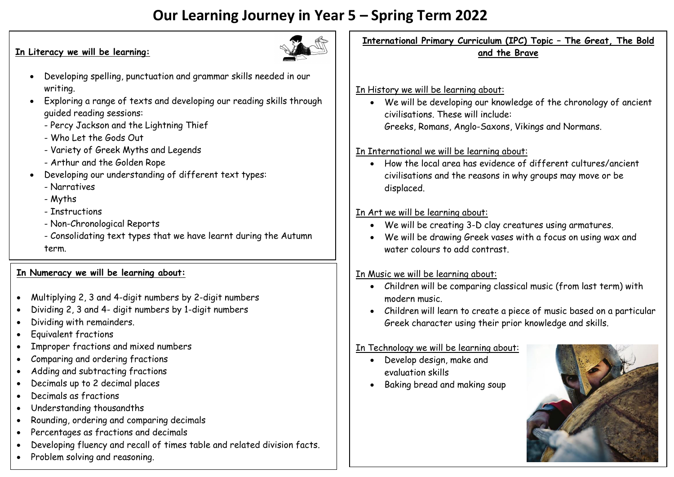# **Our Learning Journey in Year 5 – Spring Term 2022**

#### **In Literacy we will be learning:**



- Developing spelling, punctuation and grammar skills needed in our writing.
- Exploring a range of texts and developing our reading skills through guided reading sessions:
	- Percy Jackson and the Lightning Thief
	- Who Let the Gods Out
	- Variety of Greek Myths and Legends
	- Arthur and the Golden Rope
- Developing our understanding of different text types:
	- Narratives
	- Myths
	- Instructions
	- Non-Chronological Reports
	- Consolidating text types that we have learnt during the Autumn term.

#### **In Numeracy we will be learning about:**

- Multiplying 2, 3 and 4-digit numbers by 2-digit numbers
- Dividing 2, 3 and 4- digit numbers by 1-digit numbers
- Dividing with remainders.
- Equivalent fractions
- Improper fractions and mixed numbers
- Comparing and ordering fractions
- Adding and subtracting fractions
- Decimals up to 2 decimal places
- Decimals as fractions
- Understanding thousandths
- Rounding, ordering and comparing decimals
- Percentages as fractions and decimals
- Developing fluency and recall of times table and related division facts.
- Problem solving and reasoning.

**International Primary Curriculum (IPC) Topic – The Great, The Bold and the Brave**

#### In History we will be learning about:

 We will be developing our knowledge of the chronology of ancient civilisations. These will include: Greeks, Romans, Anglo-Saxons, Vikings and Normans.

### In International we will be learning about:

 How the local area has evidence of different cultures/ancient civilisations and the reasons in why groups may move or be displaced.

## In Art we will be learning about:

- We will be creating 3-D clay creatures using armatures.
- We will be drawing Greek vases with a focus on using wax and water colours to add contrast.

# In Music we will be learning about:

- Children will be comparing classical music (from last term) with modern music.
- Children will learn to create a piece of music based on a particular Greek character using their prior knowledge and skills.

### In Technology we will be learning about:

- Develop design, make and evaluation skills
- Baking bread and making soup